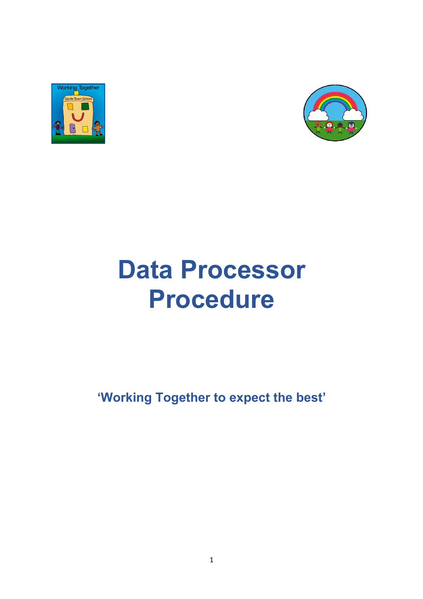



# **Data Processor Procedure**

### **'Working Together to expect the best'**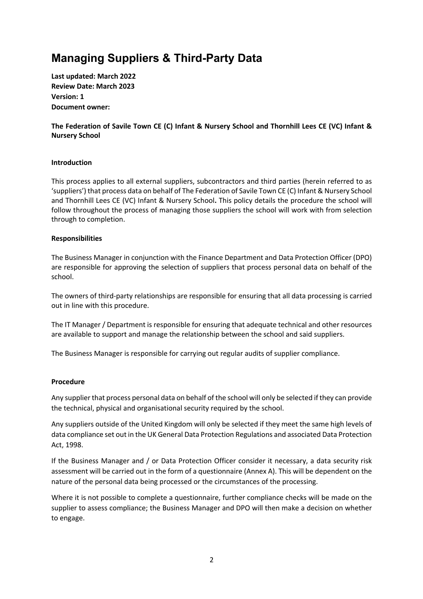### **Managing Suppliers & Third-Party Data**

**Last updated: March 2022 Review Date: March 2023 Version: 1 Document owner:** 

**The Federation of Savile Town CE (C) Infant & Nursery School and Thornhill Lees CE (VC) Infant & Nursery School**

#### **Introduction**

This process applies to all external suppliers, subcontractors and third parties (herein referred to as 'suppliers') that process data on behalf of The Federation of Savile Town CE (C) Infant & Nursery School and Thornhill Lees CE (VC) Infant & Nursery School**.** This policy details the procedure the school will follow throughout the process of managing those suppliers the school will work with from selection through to completion.

#### **Responsibilities**

The Business Manager in conjunction with the Finance Department and Data Protection Officer (DPO) are responsible for approving the selection of suppliers that process personal data on behalf of the school.

The owners of third-party relationships are responsible for ensuring that all data processing is carried out in line with this procedure.

The IT Manager / Department is responsible for ensuring that adequate technical and other resources are available to support and manage the relationship between the school and said suppliers.

The Business Manager is responsible for carrying out regular audits of supplier compliance.

#### **Procedure**

Any supplier that process personal data on behalf of the school will only be selected if they can provide the technical, physical and organisational security required by the school.

Any suppliers outside of the United Kingdom will only be selected if they meet the same high levels of data compliance set out in the UK General Data Protection Regulations and associated Data Protection Act, 1998.

If the Business Manager and / or Data Protection Officer consider it necessary, a data security risk assessment will be carried out in the form of a questionnaire (Annex A). This will be dependent on the nature of the personal data being processed or the circumstances of the processing.

Where it is not possible to complete a questionnaire, further compliance checks will be made on the supplier to assess compliance; the Business Manager and DPO will then make a decision on whether to engage.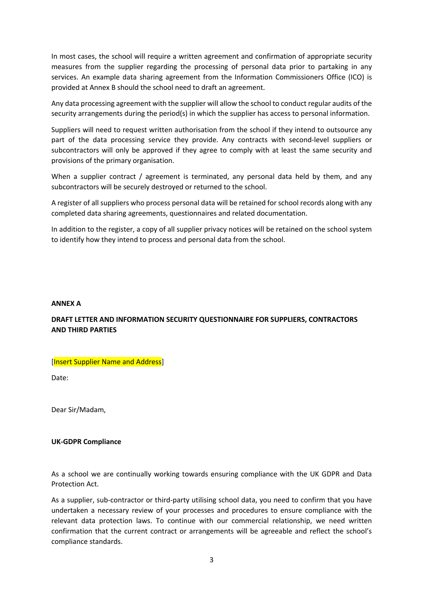In most cases, the school will require a written agreement and confirmation of appropriate security measures from the supplier regarding the processing of personal data prior to partaking in any services. An example data sharing agreement from the Information Commissioners Office (ICO) is provided at Annex B should the school need to draft an agreement.

Any data processing agreement with the supplier will allow the school to conduct regular audits of the security arrangements during the period(s) in which the supplier has access to personal information.

Suppliers will need to request written authorisation from the school if they intend to outsource any part of the data processing service they provide. Any contracts with second-level suppliers or subcontractors will only be approved if they agree to comply with at least the same security and provisions of the primary organisation.

When a supplier contract / agreement is terminated, any personal data held by them, and any subcontractors will be securely destroyed or returned to the school.

A register of all suppliers who process personal data will be retained for school records along with any completed data sharing agreements, questionnaires and related documentation.

In addition to the register, a copy of all supplier privacy notices will be retained on the school system to identify how they intend to process and personal data from the school.

#### **ANNEX A**

#### **DRAFT LETTER AND INFORMATION SECURITY QUESTIONNAIRE FOR SUPPLIERS, CONTRACTORS AND THIRD PARTIES**

#### [Insert Supplier Name and Address]

Date:

Dear Sir/Madam,

#### **UK-GDPR Compliance**

As a school we are continually working towards ensuring compliance with the UK GDPR and Data Protection Act.

As a supplier, sub-contractor or third-party utilising school data, you need to confirm that you have undertaken a necessary review of your processes and procedures to ensure compliance with the relevant data protection laws. To continue with our commercial relationship, we need written confirmation that the current contract or arrangements will be agreeable and reflect the school's compliance standards.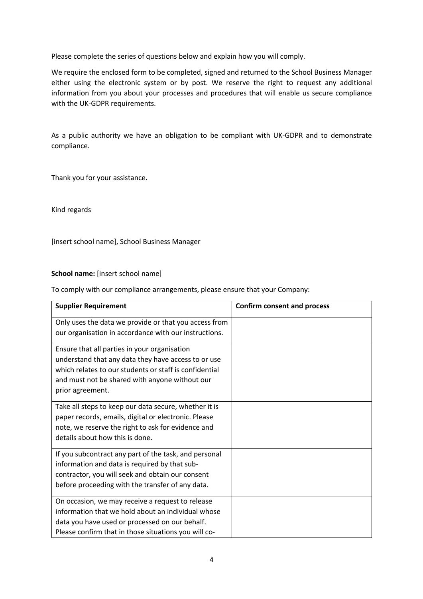Please complete the series of questions below and explain how you will comply.

We require the enclosed form to be completed, signed and returned to the School Business Manager either using the electronic system or by post. We reserve the right to request any additional information from you about your processes and procedures that will enable us secure compliance with the UK-GDPR requirements.

As a public authority we have an obligation to be compliant with UK-GDPR and to demonstrate compliance.

Thank you for your assistance.

Kind regards

[insert school name], School Business Manager

#### School name: [insert school name]

To comply with our compliance arrangements, please ensure that your Company:

| <b>Supplier Requirement</b>                            | <b>Confirm consent and process</b> |
|--------------------------------------------------------|------------------------------------|
| Only uses the data we provide or that you access from  |                                    |
| our organisation in accordance with our instructions.  |                                    |
| Ensure that all parties in your organisation           |                                    |
| understand that any data they have access to or use    |                                    |
| which relates to our students or staff is confidential |                                    |
| and must not be shared with anyone without our         |                                    |
| prior agreement.                                       |                                    |
| Take all steps to keep our data secure, whether it is  |                                    |
| paper records, emails, digital or electronic. Please   |                                    |
| note, we reserve the right to ask for evidence and     |                                    |
| details about how this is done.                        |                                    |
| If you subcontract any part of the task, and personal  |                                    |
| information and data is required by that sub-          |                                    |
| contractor, you will seek and obtain our consent       |                                    |
| before proceeding with the transfer of any data.       |                                    |
| On occasion, we may receive a request to release       |                                    |
| information that we hold about an individual whose     |                                    |
| data you have used or processed on our behalf.         |                                    |
| Please confirm that in those situations you will co-   |                                    |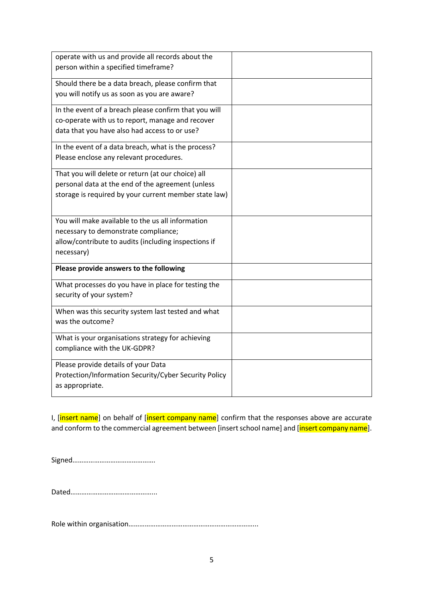| operate with us and provide all records about the<br>person within a specified timeframe?                                                                        |  |
|------------------------------------------------------------------------------------------------------------------------------------------------------------------|--|
| Should there be a data breach, please confirm that<br>you will notify us as soon as you are aware?                                                               |  |
| In the event of a breach please confirm that you will<br>co-operate with us to report, manage and recover<br>data that you have also had access to or use?       |  |
| In the event of a data breach, what is the process?<br>Please enclose any relevant procedures.                                                                   |  |
| That you will delete or return (at our choice) all<br>personal data at the end of the agreement (unless<br>storage is required by your current member state law) |  |
| You will make available to the us all information<br>necessary to demonstrate compliance;<br>allow/contribute to audits (including inspections if<br>necessary)  |  |
| Please provide answers to the following                                                                                                                          |  |
| What processes do you have in place for testing the<br>security of your system?                                                                                  |  |
| When was this security system last tested and what<br>was the outcome?                                                                                           |  |
| What is your organisations strategy for achieving<br>compliance with the UK-GDPR?                                                                                |  |
| Please provide details of your Data<br>Protection/Information Security/Cyber Security Policy<br>as appropriate.                                                  |  |

I, [insert name] on behalf of [insert company name] confirm that the responses above are accurate and conform to the commercial agreement between [insert school name] and [insert company name].

Signed……………………………………….

Dated………………………………………...

Role within organisation……………………………………………………………...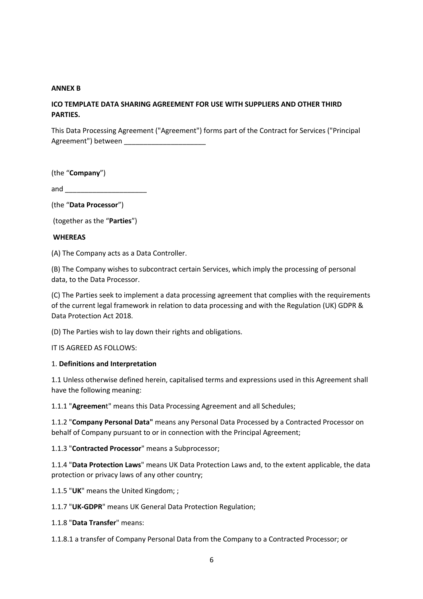#### **ANNEX B**

#### **ICO TEMPLATE DATA SHARING AGREEMENT FOR USE WITH SUPPLIERS AND OTHER THIRD PARTIES.**

This Data Processing Agreement ("Agreement") forms part of the Contract for Services ("Principal Agreement") between

(the "**Company**")

and  $\Box$ 

(the "**Data Processor**")

(together as the "**Parties**")

#### **WHEREAS**

(A) The Company acts as a Data Controller.

(B) The Company wishes to subcontract certain Services, which imply the processing of personal data, to the Data Processor.

(C) The Parties seek to implement a data processing agreement that complies with the requirements of the current legal framework in relation to data processing and with the Regulation (UK) GDPR & Data Protection Act 2018.

(D) The Parties wish to lay down their rights and obligations.

IT IS AGREED AS FOLLOWS:

#### 1. **Definitions and Interpretation**

1.1 Unless otherwise defined herein, capitalised terms and expressions used in this Agreement shall have the following meaning:

1.1.1 "**Agreemen**t" means this Data Processing Agreement and all Schedules;

1.1.2 "**Company Personal Data"** means any Personal Data Processed by a Contracted Processor on behalf of Company pursuant to or in connection with the Principal Agreement;

1.1.3 "**Contracted Processor**" means a Subprocessor;

1.1.4 "**Data Protection Laws**" means UK Data Protection Laws and, to the extent applicable, the data protection or privacy laws of any other country;

1.1.5 "**UK**" means the United Kingdom; ;

1.1.7 "**UK-GDPR**" means UK General Data Protection Regulation;

1.1.8 "**Data Transfer**" means:

1.1.8.1 a transfer of Company Personal Data from the Company to a Contracted Processor; or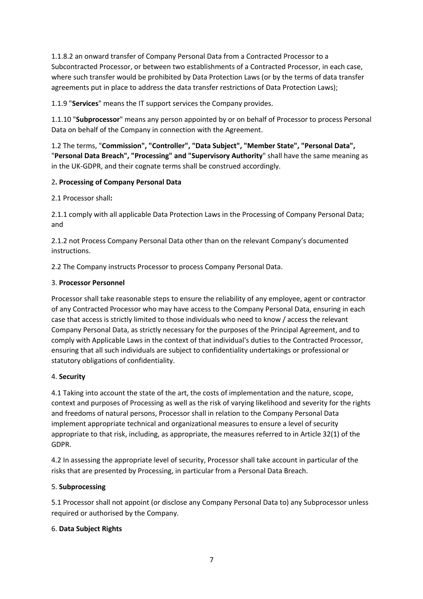1.1.8.2 an onward transfer of Company Personal Data from a Contracted Processor to a Subcontracted Processor, or between two establishments of a Contracted Processor, in each case, where such transfer would be prohibited by Data Protection Laws (or by the terms of data transfer agreements put in place to address the data transfer restrictions of Data Protection Laws);

1.1.9 "**Services**" means the IT support services the Company provides.

1.1.10 "**Subprocessor**" means any person appointed by or on behalf of Processor to process Personal Data on behalf of the Company in connection with the Agreement.

1.2 The terms, "**Commission", "Controller", "Data Subject", "Member State", "Personal Data",**  "**Personal Data Breach", "Processing" and "Supervisory Authority**" shall have the same meaning as in the UK-GDPR, and their cognate terms shall be construed accordingly.

#### 2**. Processing of Company Personal Data**

2.1 Processor shall**:**

2.1.1 comply with all applicable Data Protection Laws in the Processing of Company Personal Data; and

2.1.2 not Process Company Personal Data other than on the relevant Company's documented instructions.

2.2 The Company instructs Processor to process Company Personal Data.

#### 3. **Processor Personnel**

Processor shall take reasonable steps to ensure the reliability of any employee, agent or contractor of any Contracted Processor who may have access to the Company Personal Data, ensuring in each case that access is strictly limited to those individuals who need to know / access the relevant Company Personal Data, as strictly necessary for the purposes of the Principal Agreement, and to comply with Applicable Laws in the context of that individual's duties to the Contracted Processor, ensuring that all such individuals are subject to confidentiality undertakings or professional or statutory obligations of confidentiality.

#### 4. **Security**

4.1 Taking into account the state of the art, the costs of implementation and the nature, scope, context and purposes of Processing as well as the risk of varying likelihood and severity for the rights and freedoms of natural persons, Processor shall in relation to the Company Personal Data implement appropriate technical and organizational measures to ensure a level of security appropriate to that risk, including, as appropriate, the measures referred to in Article 32(1) of the GDPR.

4.2 In assessing the appropriate level of security, Processor shall take account in particular of the risks that are presented by Processing, in particular from a Personal Data Breach.

#### 5. **Subprocessing**

5.1 Processor shall not appoint (or disclose any Company Personal Data to) any Subprocessor unless required or authorised by the Company.

#### 6. **Data Subject Rights**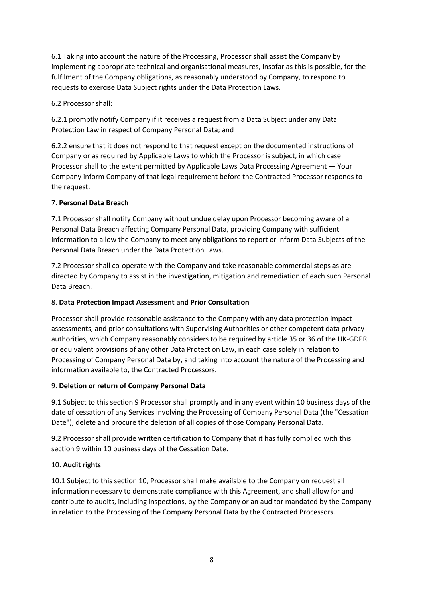6.1 Taking into account the nature of the Processing, Processor shall assist the Company by implementing appropriate technical and organisational measures, insofar as this is possible, for the fulfilment of the Company obligations, as reasonably understood by Company, to respond to requests to exercise Data Subject rights under the Data Protection Laws.

6.2 Processor shall:

6.2.1 promptly notify Company if it receives a request from a Data Subject under any Data Protection Law in respect of Company Personal Data; and

6.2.2 ensure that it does not respond to that request except on the documented instructions of Company or as required by Applicable Laws to which the Processor is subject, in which case Processor shall to the extent permitted by Applicable Laws Data Processing Agreement — Your Company inform Company of that legal requirement before the Contracted Processor responds to the request.

#### 7. **Personal Data Breach**

7.1 Processor shall notify Company without undue delay upon Processor becoming aware of a Personal Data Breach affecting Company Personal Data, providing Company with sufficient information to allow the Company to meet any obligations to report or inform Data Subjects of the Personal Data Breach under the Data Protection Laws.

7.2 Processor shall co-operate with the Company and take reasonable commercial steps as are directed by Company to assist in the investigation, mitigation and remediation of each such Personal Data Breach.

#### 8. **Data Protection Impact Assessment and Prior Consultation**

Processor shall provide reasonable assistance to the Company with any data protection impact assessments, and prior consultations with Supervising Authorities or other competent data privacy authorities, which Company reasonably considers to be required by article 35 or 36 of the UK-GDPR or equivalent provisions of any other Data Protection Law, in each case solely in relation to Processing of Company Personal Data by, and taking into account the nature of the Processing and information available to, the Contracted Processors.

#### 9. **Deletion or return of Company Personal Data**

9.1 Subject to this section 9 Processor shall promptly and in any event within 10 business days of the date of cessation of any Services involving the Processing of Company Personal Data (the "Cessation Date"), delete and procure the deletion of all copies of those Company Personal Data.

9.2 Processor shall provide written certification to Company that it has fully complied with this section 9 within 10 business days of the Cessation Date.

#### 10. **Audit rights**

10.1 Subject to this section 10, Processor shall make available to the Company on request all information necessary to demonstrate compliance with this Agreement, and shall allow for and contribute to audits, including inspections, by the Company or an auditor mandated by the Company in relation to the Processing of the Company Personal Data by the Contracted Processors.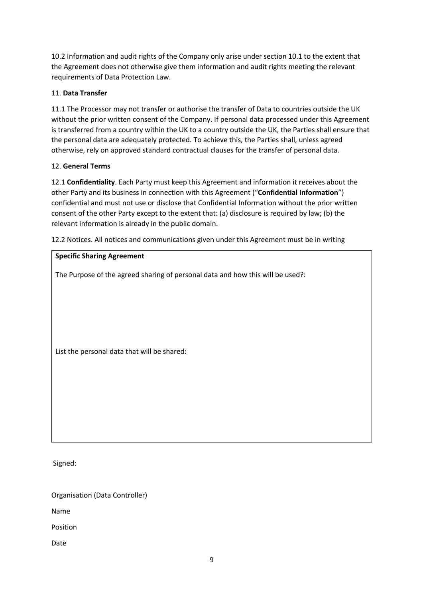10.2 Information and audit rights of the Company only arise under section 10.1 to the extent that the Agreement does not otherwise give them information and audit rights meeting the relevant requirements of Data Protection Law.

#### 11. **Data Transfer**

11.1 The Processor may not transfer or authorise the transfer of Data to countries outside the UK without the prior written consent of the Company. If personal data processed under this Agreement is transferred from a country within the UK to a country outside the UK, the Parties shall ensure that the personal data are adequately protected. To achieve this, the Parties shall, unless agreed otherwise, rely on approved standard contractual clauses for the transfer of personal data.

#### 12. **General Terms**

12.1 **Confidentiality**. Each Party must keep this Agreement and information it receives about the other Party and its business in connection with this Agreement ("**Confidential Information**") confidential and must not use or disclose that Confidential Information without the prior written consent of the other Party except to the extent that: (a) disclosure is required by law; (b) the relevant information is already in the public domain.

12.2 Notices. All notices and communications given under this Agreement must be in writing

## **Specific Sharing Agreement** The Purpose of the agreed sharing of personal data and how this will be used?:

List the personal data that will be shared:

Signed:

Organisation (Data Controller)

Name

Position

Date